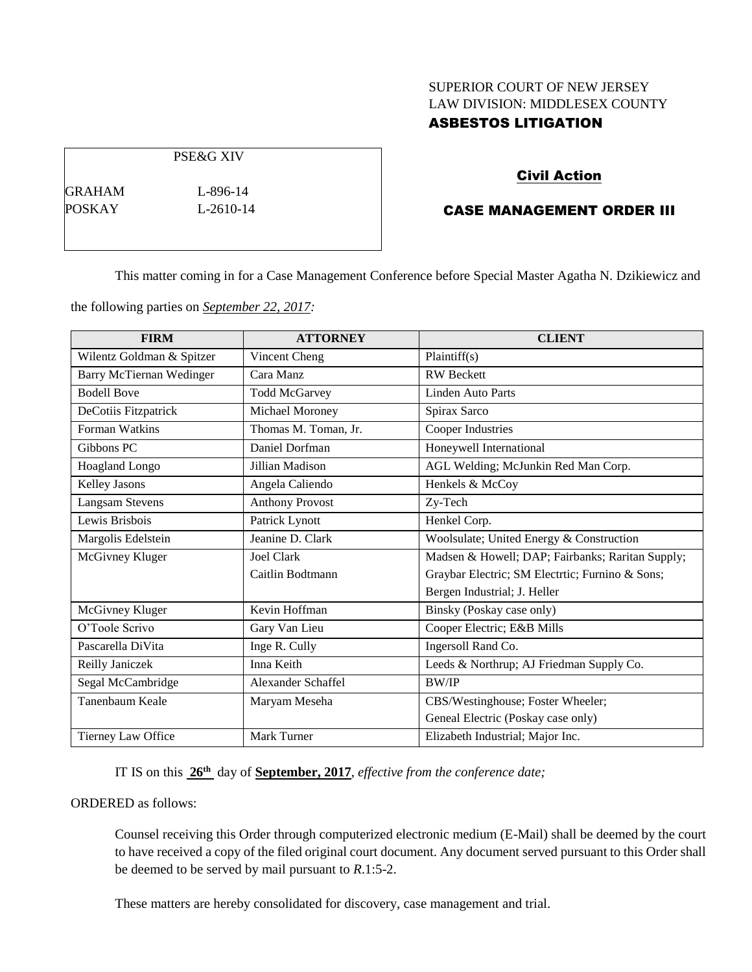# SUPERIOR COURT OF NEW JERSEY LAW DIVISION: MIDDLESEX COUNTY ASBESTOS LITIGATION

# Civil Action

CASE MANAGEMENT ORDER III

This matter coming in for a Case Management Conference before Special Master Agatha N. Dzikiewicz and

the following parties on *September 22, 2017:*

| <b>FIRM</b>                     | <b>ATTORNEY</b>        | <b>CLIENT</b>                                    |
|---------------------------------|------------------------|--------------------------------------------------|
| Wilentz Goldman & Spitzer       | Vincent Cheng          | Plaintiff(s)                                     |
| <b>Barry McTiernan Wedinger</b> | Cara Manz              | <b>RW</b> Beckett                                |
| <b>Bodell Bove</b>              | <b>Todd McGarvey</b>   | Linden Auto Parts                                |
| DeCotiis Fitzpatrick            | Michael Moroney        | Spirax Sarco                                     |
| Forman Watkins                  | Thomas M. Toman, Jr.   | <b>Cooper Industries</b>                         |
| Gibbons PC                      | Daniel Dorfman         | Honeywell International                          |
| <b>Hoagland Longo</b>           | Jillian Madison        | AGL Welding; McJunkin Red Man Corp.              |
| Kelley Jasons                   | Angela Caliendo        | Henkels & McCoy                                  |
| <b>Langsam Stevens</b>          | <b>Anthony Provost</b> | Zy-Tech                                          |
| Lewis Brisbois                  | Patrick Lynott         | Henkel Corp.                                     |
| Margolis Edelstein              | Jeanine D. Clark       | Woolsulate; United Energy & Construction         |
| McGivney Kluger                 | Joel Clark             | Madsen & Howell; DAP; Fairbanks; Raritan Supply; |
|                                 | Caitlin Bodtmann       | Graybar Electric; SM Electric; Furnino & Sons;   |
|                                 |                        | Bergen Industrial; J. Heller                     |
| McGivney Kluger                 | Kevin Hoffman          | Binsky (Poskay case only)                        |
| O'Toole Scrivo                  | Gary Van Lieu          | Cooper Electric; E&B Mills                       |
| Pascarella DiVita               | Inge R. Cully          | Ingersoll Rand Co.                               |
| Reilly Janiczek                 | Inna Keith             | Leeds & Northrup; AJ Friedman Supply Co.         |
| Segal McCambridge               | Alexander Schaffel     | <b>BW/IP</b>                                     |
| Tanenbaum Keale                 | Maryam Meseha          | CBS/Westinghouse; Foster Wheeler;                |
|                                 |                        | Geneal Electric (Poskay case only)               |
| Tierney Law Office              | Mark Turner            | Elizabeth Industrial; Major Inc.                 |

IT IS on this  $26<sup>th</sup>$  day of **September, 2017**, *effective from the conference date*;

# ORDERED as follows:

Counsel receiving this Order through computerized electronic medium (E-Mail) shall be deemed by the court to have received a copy of the filed original court document. Any document served pursuant to this Order shall be deemed to be served by mail pursuant to *R*.1:5-2.

These matters are hereby consolidated for discovery, case management and trial.

PSE&G XIV

GRAHAM L-896-14 POSKAY L-2610-14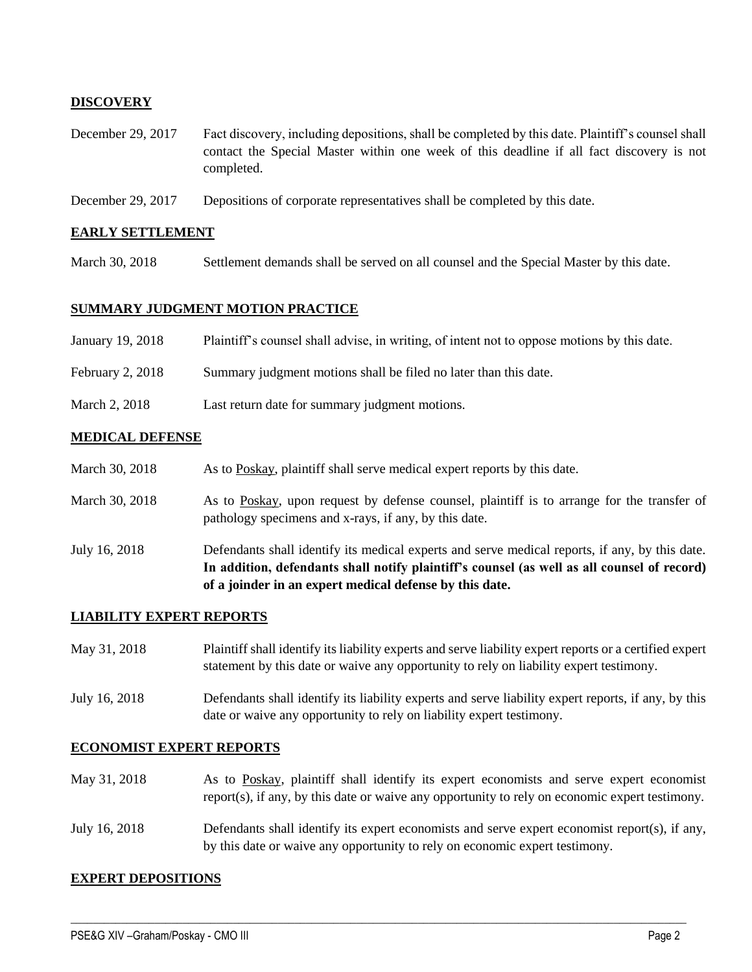# **DISCOVERY**

- December 29, 2017 Fact discovery, including depositions, shall be completed by this date. Plaintiff's counsel shall contact the Special Master within one week of this deadline if all fact discovery is not completed.
- December 29, 2017 Depositions of corporate representatives shall be completed by this date.

## **EARLY SETTLEMENT**

March 30, 2018 Settlement demands shall be served on all counsel and the Special Master by this date.

## **SUMMARY JUDGMENT MOTION PRACTICE**

| January 19, 2018 | Plaintiff's counsel shall advise, in writing, of intent not to oppose motions by this date. |
|------------------|---------------------------------------------------------------------------------------------|
| February 2, 2018 | Summary judgment motions shall be filed no later than this date.                            |
| March 2, 2018    | Last return date for summary judgment motions.                                              |

### **MEDICAL DEFENSE**

| March 30, 2018 | As to Poskay, plaintiff shall serve medical expert reports by this date.                                                                            |
|----------------|-----------------------------------------------------------------------------------------------------------------------------------------------------|
| March 30, 2018 | As to Poskay, upon request by defense counsel, plaintiff is to arrange for the transfer of<br>pathology specimens and x-rays, if any, by this date. |

July 16, 2018 Defendants shall identify its medical experts and serve medical reports, if any, by this date. **In addition, defendants shall notify plaintiff's counsel (as well as all counsel of record) of a joinder in an expert medical defense by this date.**

#### **LIABILITY EXPERT REPORTS**

- May 31, 2018 Plaintiff shall identify its liability experts and serve liability expert reports or a certified expert statement by this date or waive any opportunity to rely on liability expert testimony.
- July 16, 2018 Defendants shall identify its liability experts and serve liability expert reports, if any, by this date or waive any opportunity to rely on liability expert testimony.

#### **ECONOMIST EXPERT REPORTS**

- May 31, 2018 As to Poskay, plaintiff shall identify its expert economists and serve expert economist report(s), if any, by this date or waive any opportunity to rely on economic expert testimony.
- July 16, 2018 Defendants shall identify its expert economists and serve expert economist report(s), if any, by this date or waive any opportunity to rely on economic expert testimony.

 $\_$  ,  $\_$  ,  $\_$  ,  $\_$  ,  $\_$  ,  $\_$  ,  $\_$  ,  $\_$  ,  $\_$  ,  $\_$  ,  $\_$  ,  $\_$  ,  $\_$  ,  $\_$  ,  $\_$  ,  $\_$  ,  $\_$  ,  $\_$  ,  $\_$  ,  $\_$  ,  $\_$  ,  $\_$  ,  $\_$  ,  $\_$  ,  $\_$  ,  $\_$  ,  $\_$  ,  $\_$  ,  $\_$  ,  $\_$  ,  $\_$  ,  $\_$  ,  $\_$  ,  $\_$  ,  $\_$  ,  $\_$  ,  $\_$  ,

#### **EXPERT DEPOSITIONS**